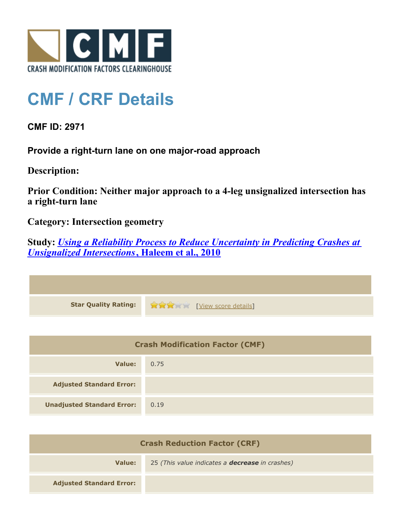

## **CMF / CRF Details**

**CMF ID: 2971**

**Provide a right-turn lane on one major-road approach**

**Description:** 

**Prior Condition: Neither major approach to a 4-leg unsignalized intersection has a right-turn lane**

**Category: Intersection geometry**

**Study:** *[Using a Reliability Process to Reduce Uncertainty in Predicting Crashes at](http://www.cmfclearinghouse.org/study_detail.cfm?stid=203) [Unsignalized Intersections](http://www.cmfclearinghouse.org/study_detail.cfm?stid=203)***[, Haleem et al., 2010](http://www.cmfclearinghouse.org/study_detail.cfm?stid=203)**

| Star Quality Rating: 1999 [View score details] |
|------------------------------------------------|

| <b>Crash Modification Factor (CMF)</b> |      |
|----------------------------------------|------|
| Value:                                 | 0.75 |
| <b>Adjusted Standard Error:</b>        |      |
| <b>Unadjusted Standard Error:</b>      | 0.19 |

| <b>Crash Reduction Factor (CRF)</b> |                                                        |
|-------------------------------------|--------------------------------------------------------|
| Value:                              | 25 (This value indicates a <b>decrease</b> in crashes) |
| <b>Adjusted Standard Error:</b>     |                                                        |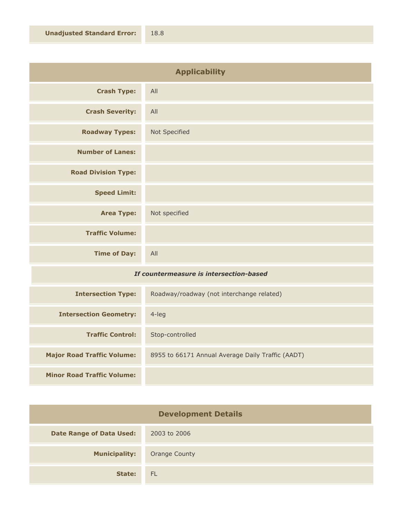| <b>Applicability</b>       |               |
|----------------------------|---------------|
| <b>Crash Type:</b>         | All           |
| <b>Crash Severity:</b>     | All           |
| <b>Roadway Types:</b>      | Not Specified |
| <b>Number of Lanes:</b>    |               |
| <b>Road Division Type:</b> |               |
| <b>Speed Limit:</b>        |               |
| <b>Area Type:</b>          | Not specified |
| <b>Traffic Volume:</b>     |               |
| <b>Time of Day:</b>        | All           |

## *If countermeasure is intersection-based*

| <b>Intersection Type:</b>         | Roadway/roadway (not interchange related)         |
|-----------------------------------|---------------------------------------------------|
| <b>Intersection Geometry:</b>     | $4$ -leg                                          |
| <b>Traffic Control:</b>           | Stop-controlled                                   |
| <b>Major Road Traffic Volume:</b> | 8955 to 66171 Annual Average Daily Traffic (AADT) |
| <b>Minor Road Traffic Volume:</b> |                                                   |

| <b>Development Details</b>      |                      |
|---------------------------------|----------------------|
| <b>Date Range of Data Used:</b> | 2003 to 2006         |
| <b>Municipality:</b>            | <b>Orange County</b> |
| State:                          | <b>FL</b>            |